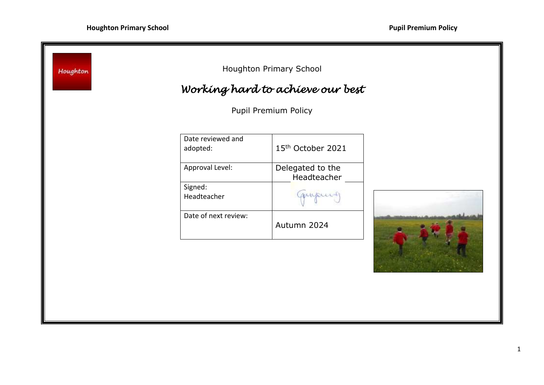٠

| Houghton |                               | Houghton Primary School          |  |
|----------|-------------------------------|----------------------------------|--|
|          |                               | Working hard to achieve our best |  |
|          |                               | Pupil Premium Policy             |  |
|          | Date reviewed and<br>adopted: | 15th October 2021                |  |
|          | Approval Level:               | Delegated to the<br>Headteacher  |  |
|          | Signed:<br>Headteacher        | ganpusing                        |  |
|          | Date of next review:          | Autumn 2024                      |  |
|          |                               |                                  |  |
|          |                               |                                  |  |
|          |                               |                                  |  |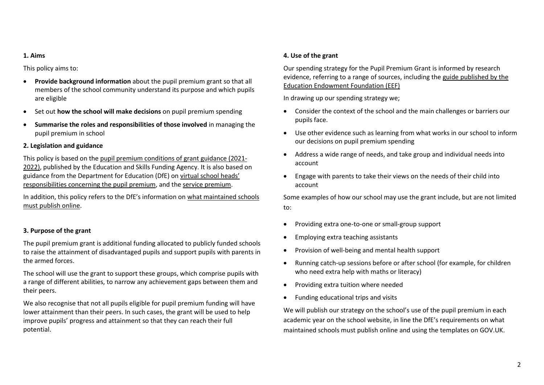#### **1. Aims**

This policy aims to:

- **Provide background information** about the pupil premium grant so that all members of the school community understand its purpose and which pupils are eligible
- Set out **how the school will make decisions** on pupil premium spending
- **Summarise the roles and responsibilities of those involved** in managing the pupil premium in school

## **2. Legislation and guidance**

This policy is based on the [pupil premium conditions of grant guidance \(2021-](https://www.gov.uk/government/publications/pupil-premium-allocations-and-conditions-of-grant-2021-to-2022/pupil-premium-conditions-of-grant-2021-to-2022-for-local-authorities) [2022\),](https://www.gov.uk/government/publications/pupil-premium-allocations-and-conditions-of-grant-2021-to-2022/pupil-premium-conditions-of-grant-2021-to-2022-for-local-authorities) published by the Education and Skills Funding Agency. It is also based on guidance from the Department for Education (DfE) on [virtual school head](https://www.gov.uk/guidance/pupil-premium-virtual-school-heads-responsibilities)s' [responsibilities concerning the pupil premium,](https://www.gov.uk/guidance/pupil-premium-virtual-school-heads-responsibilities) and the [service premium.](https://www.gov.uk/guidance/service-premium-information-for-schools)

In addition, this policy refers to the DfE's information on [what maintained schools](https://www.gov.uk/guidance/what-maintained-schools-must-publish-online#pupil-premium)  [must publish online.](https://www.gov.uk/guidance/what-maintained-schools-must-publish-online#pupil-premium)

# **3. Purpose of the grant**

The pupil premium grant is additional funding allocated to publicly funded schools to raise the attainment of disadvantaged pupils and support pupils with parents in the armed forces.

The school will use the grant to support these groups, which comprise pupils with a range of different abilities, to narrow any achievement gaps between them and their peers.

We also recognise that not all pupils eligible for pupil premium funding will have lower attainment than their peers. In such cases, the grant will be used to help improve pupils' progress and attainment so that they can reach their full potential.

## **4. Use of the grant**

Our spending strategy for the Pupil Premium Grant is informed by research evidence, referring to a range of sources, including the guide [published by the](https://educationendowmentfoundation.org.uk/evidence-summaries/pupil-premium-guide/)  [Education Endowment Foundation \(EEF\)](https://educationendowmentfoundation.org.uk/evidence-summaries/pupil-premium-guide/)

In drawing up our spending strategy we;

- Consider the context of the school and the main challenges or barriers our pupils face.
- Use other evidence such as learning from what works in our school to inform our decisions on pupil premium spending
- Address a wide range of needs, and take group and individual needs into account
- Engage with parents to take their views on the needs of their child into account

Some examples of how our school may use the grant include, but are not limited to:

- Providing extra one-to-one or small-group support
- Employing extra teaching assistants
- Provision of well-being and mental health support
- Running catch-up sessions before or after school (for example, for children who need extra help with maths or literacy)
- Providing extra tuition where needed
- Funding educational trips and visits

We will publish our strategy on the school's use of the pupil premium in each academic year on the school website, in line the DfE's requirements on what maintained schools must publish online and using the templates on GOV.UK.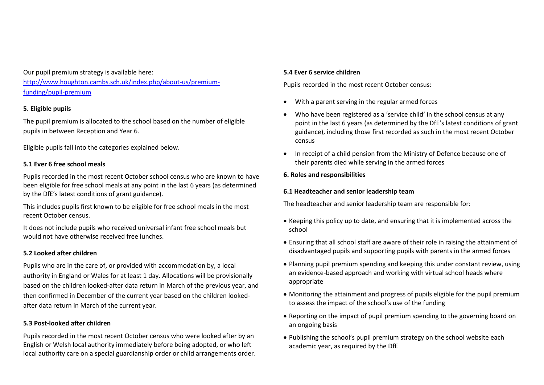Our pupil premium strategy is available here: [http://www.houghton.cambs.sch.uk/index.php/about-us/premium](http://www.houghton.cambs.sch.uk/index.php/about-us/premium-funding/pupil-premium)[funding/pupil-premium](http://www.houghton.cambs.sch.uk/index.php/about-us/premium-funding/pupil-premium)

## **5. Eligible pupils**

The pupil premium is allocated to the school based on the number of eligible pupils in between Reception and Year 6.

Eligible pupils fall into the categories explained below.

## **5.1 Ever 6 free school meals**

Pupils recorded in the most recent October school census who are known to have been eligible for free school meals at any point in the last 6 years (as determined by the DfE's latest conditions of grant guidance).

This includes pupils first known to be eligible for free school meals in the most recent October census.

It does not include pupils who received universal infant free school meals but would not have otherwise received free lunches.

#### **5.2 Looked after children**

Pupils who are in the care of, or provided with accommodation by, a local authority in England or Wales for at least 1 day. Allocations will be provisionally based on the children looked-after data return in March of the previous year, and then confirmed in December of the current year based on the children lookedafter data return in March of the current year.

#### **5.3 Post-looked after children**

Pupils recorded in the most recent October census who were looked after by an English or Welsh local authority immediately before being adopted, or who left local authority care on a special guardianship order or child arrangements order.

#### **5.4 Ever 6 service children**

Pupils recorded in the most recent October census:

- With a parent serving in the regular armed forces
- Who have been registered as a 'service child' in the school census at any point in the last 6 years (as determined by the DfE's latest conditions of grant guidance), including those first recorded as such in the most recent October census
- In receipt of a child pension from the Ministry of Defence because one of their parents died while serving in the armed forces

## **6. Roles and responsibilities**

#### **6.1 Headteacher and senior leadership team**

The headteacher and senior leadership team are responsible for:

- Keeping this policy up to date, and ensuring that it is implemented across the school
- Ensuring that all school staff are aware of their role in raising the attainment of disadvantaged pupils and supporting pupils with parents in the armed forces
- Planning pupil premium spending and keeping this under constant review, using an evidence-based approach and working with virtual school heads where appropriate
- Monitoring the attainment and progress of pupils eligible for the pupil premium to assess the impact of the school's use of the funding
- Reporting on the impact of pupil premium spending to the governing board on an ongoing basis
- Publishing the school's pupil premium strategy on the school website each academic year, as required by the DfE